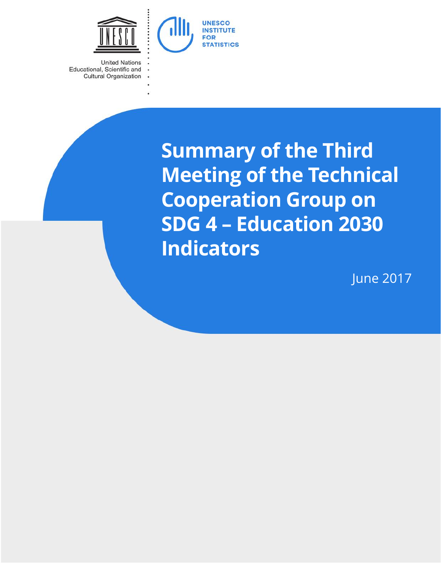

**United Nations** Educational, Scientific and **Cultural Organization** 

> **Summary of the Third Meeting of the Technical Cooperation Group on SDG 4 – Education 2030 Indicators**

> > June 2017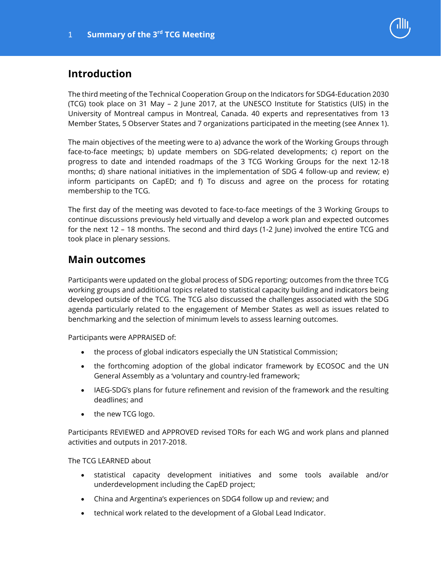

# **Introduction**

The third meeting of the Technical Cooperation Group on the Indicators for SDG4-Education 2030 (TCG) took place on 31 May – 2 June 2017, at the UNESCO Institute for Statistics (UIS) in the University of Montreal campus in Montreal, Canada. 40 experts and representatives from 13 Member States, 5 Observer States and 7 organizations participated in the meeting (see Annex 1).

The main objectives of the meeting were to a) advance the work of the Working Groups through face-to-face meetings; b) update members on SDG-related developments; c) report on the progress to date and intended roadmaps of the 3 TCG Working Groups for the next 12-18 months; d) share national initiatives in the implementation of SDG 4 follow-up and review; e) inform participants on CapED; and f) To discuss and agree on the process for rotating membership to the TCG.

The first day of the meeting was devoted to face-to-face meetings of the 3 Working Groups to continue discussions previously held virtually and develop a work plan and expected outcomes for the next 12 – 18 months. The second and third days (1-2 June) involved the entire TCG and took place in plenary sessions.

# **Main outcomes**

Participants were updated on the global process of SDG reporting; outcomes from the three TCG working groups and additional topics related to statistical capacity building and indicators being developed outside of the TCG. The TCG also discussed the challenges associated with the SDG agenda particularly related to the engagement of Member States as well as issues related to benchmarking and the selection of minimum levels to assess learning outcomes.

Participants were APPRAISED of:

- the process of global indicators especially the UN Statistical Commission;
- the forthcoming adoption of the global indicator framework by ECOSOC and the UN General Assembly as a 'voluntary and country-led framework;
- IAEG-SDG's plans for future refinement and revision of the framework and the resulting deadlines; and
- the new TCG logo.

Participants REVIEWED and APPROVED revised TORs for each WG and work plans and planned activities and outputs in 2017-2018.

The TCG LEARNED about

- statistical capacity development initiatives and some tools available and/or underdevelopment including the CapED project;
- China and Argentina's experiences on SDG4 follow up and review; and
- technical work related to the development of a Global Lead Indicator.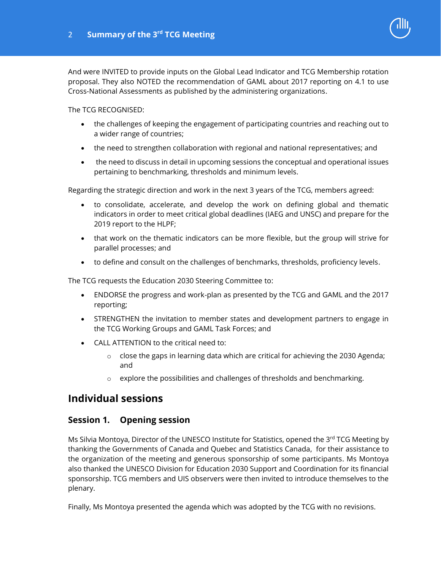And were INVITED to provide inputs on the Global Lead Indicator and TCG Membership rotation proposal. They also NOTED the recommendation of GAML about 2017 reporting on 4.1 to use Cross-National Assessments as published by the administering organizations.

The TCG RECOGNISED:

- the challenges of keeping the engagement of participating countries and reaching out to a wider range of countries;
- the need to strengthen collaboration with regional and national representatives; and
- the need to discuss in detail in upcoming sessions the conceptual and operational issues pertaining to benchmarking, thresholds and minimum levels.

Regarding the strategic direction and work in the next 3 years of the TCG, members agreed:

- to consolidate, accelerate, and develop the work on defining global and thematic indicators in order to meet critical global deadlines (IAEG and UNSC) and prepare for the 2019 report to the HLPF;
- that work on the thematic indicators can be more flexible, but the group will strive for parallel processes; and
- to define and consult on the challenges of benchmarks, thresholds, proficiency levels.

The TCG requests the Education 2030 Steering Committee to:

- ENDORSE the progress and work-plan as presented by the TCG and GAML and the 2017 reporting;
- STRENGTHEN the invitation to member states and development partners to engage in the TCG Working Groups and GAML Task Forces; and
- CALL ATTENTION to the critical need to:
	- $\circ$  close the gaps in learning data which are critical for achieving the 2030 Agenda; and
	- $\circ$  explore the possibilities and challenges of thresholds and benchmarking.

# **Individual sessions**

### **Session 1. Opening session**

Ms Silvia Montoya, Director of the UNESCO Institute for Statistics, opened the 3rd TCG Meeting by thanking the Governments of Canada and Quebec and Statistics Canada, for their assistance to the organization of the meeting and generous sponsorship of some participants. Ms Montoya also thanked the UNESCO Division for Education 2030 Support and Coordination for its financial sponsorship. TCG members and UIS observers were then invited to introduce themselves to the plenary.

Finally, Ms Montoya presented the agenda which was adopted by the TCG with no revisions.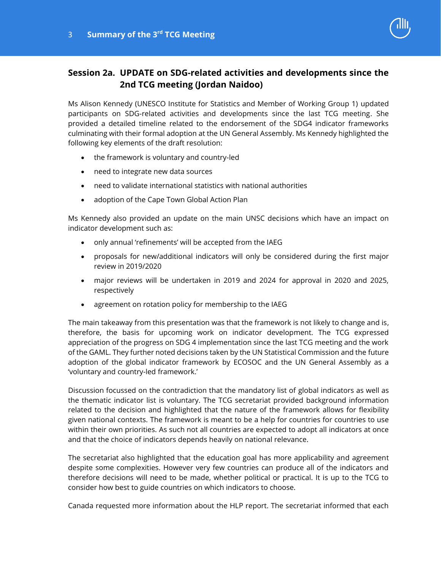# **Session 2a. UPDATE on SDG-related activities and developments since the 2nd TCG meeting (Jordan Naidoo)**

Ms Alison Kennedy (UNESCO Institute for Statistics and Member of Working Group 1) updated participants on SDG-related activities and developments since the last TCG meeting. She provided a detailed timeline related to the endorsement of the SDG4 indicator frameworks culminating with their formal adoption at the UN General Assembly. Ms Kennedy highlighted the following key elements of the draft resolution:

- the framework is voluntary and country-led
- need to integrate new data sources
- need to validate international statistics with national authorities
- adoption of the Cape Town Global Action Plan

Ms Kennedy also provided an update on the main UNSC decisions which have an impact on indicator development such as:

- only annual 'refinements' will be accepted from the IAEG
- proposals for new/additional indicators will only be considered during the first major review in 2019/2020
- major reviews will be undertaken in 2019 and 2024 for approval in 2020 and 2025, respectively
- agreement on rotation policy for membership to the IAEG

The main takeaway from this presentation was that the framework is not likely to change and is, therefore, the basis for upcoming work on indicator development. The TCG expressed appreciation of the progress on SDG 4 implementation since the last TCG meeting and the work of the GAML. They further noted decisions taken by the UN Statistical Commission and the future adoption of the global indicator framework by ECOSOC and the UN General Assembly as a 'voluntary and country-led framework.'

Discussion focussed on the contradiction that the mandatory list of global indicators as well as the thematic indicator list is voluntary. The TCG secretariat provided background information related to the decision and highlighted that the nature of the framework allows for flexibility given national contexts. The framework is meant to be a help for countries for countries to use within their own priorities. As such not all countries are expected to adopt all indicators at once and that the choice of indicators depends heavily on national relevance.

The secretariat also highlighted that the education goal has more applicability and agreement despite some complexities. However very few countries can produce all of the indicators and therefore decisions will need to be made, whether political or practical. It is up to the TCG to consider how best to guide countries on which indicators to choose.

Canada requested more information about the HLP report. The secretariat informed that each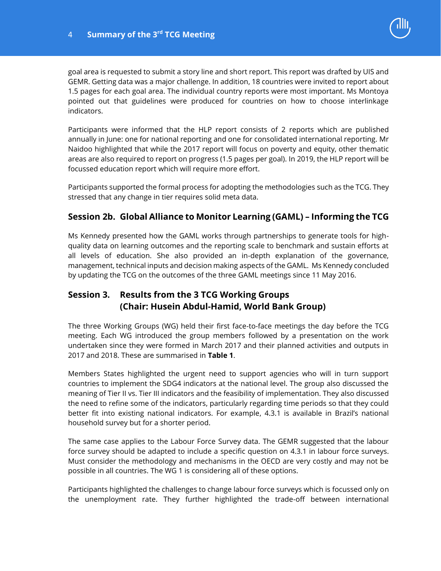

goal area is requested to submit a story line and short report. This report was drafted by UIS and GEMR. Getting data was a major challenge. In addition, 18 countries were invited to report about 1.5 pages for each goal area. The individual country reports were most important. Ms Montoya pointed out that guidelines were produced for countries on how to choose interlinkage indicators.

Participants were informed that the HLP report consists of 2 reports which are published annually in June: one for national reporting and one for consolidated international reporting. Mr Naidoo highlighted that while the 2017 report will focus on poverty and equity, other thematic areas are also required to report on progress (1.5 pages per goal). In 2019, the HLP report will be focussed education report which will require more effort.

Participants supported the formal process for adopting the methodologies such as the TCG. They stressed that any change in tier requires solid meta data.

### **Session 2b. Global Alliance to Monitor Learning (GAML) – Informing the TCG**

Ms Kennedy presented how the GAML works through partnerships to generate tools for highquality data on learning outcomes and the reporting scale to benchmark and sustain efforts at all levels of education. She also provided an in-depth explanation of the governance, management, technical inputs and decision making aspects of the GAML. Ms Kennedy concluded by updating the TCG on the outcomes of the three GAML meetings since 11 May 2016.

# **Session 3. Results from the 3 TCG Working Groups (Chair: Husein Abdul-Hamid, World Bank Group)**

The three Working Groups (WG) held their first face-to-face meetings the day before the TCG meeting. Each WG introduced the group members followed by a presentation on the work undertaken since they were formed in March 2017 and their planned activities and outputs in 2017 and 2018. These are summarised in **Table 1**.

Members States highlighted the urgent need to support agencies who will in turn support countries to implement the SDG4 indicators at the national level. The group also discussed the meaning of Tier II vs. Tier III indicators and the feasibility of implementation. They also discussed the need to refine some of the indicators, particularly regarding time periods so that they could better fit into existing national indicators. For example, 4.3.1 is available in Brazil's national household survey but for a shorter period.

The same case applies to the Labour Force Survey data. The GEMR suggested that the labour force survey should be adapted to include a specific question on 4.3.1 in labour force surveys. Must consider the methodology and mechanisms in the OECD are very costly and may not be possible in all countries. The WG 1 is considering all of these options.

Participants highlighted the challenges to change labour force surveys which is focussed only on the unemployment rate. They further highlighted the trade-off between international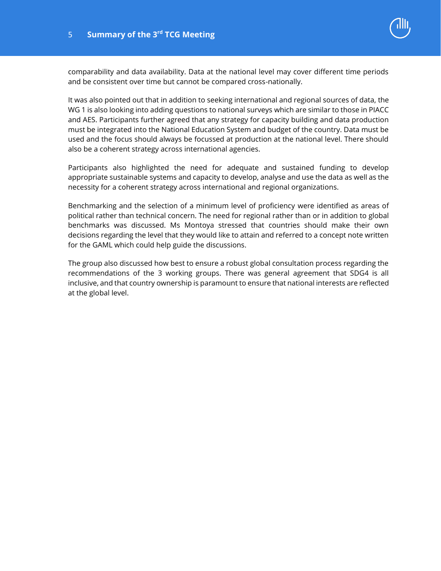

comparability and data availability. Data at the national level may cover different time periods and be consistent over time but cannot be compared cross-nationally.

It was also pointed out that in addition to seeking international and regional sources of data, the WG 1 is also looking into adding questions to national surveys which are similar to those in PIACC and AES. Participants further agreed that any strategy for capacity building and data production must be integrated into the National Education System and budget of the country. Data must be used and the focus should always be focussed at production at the national level. There should also be a coherent strategy across international agencies.

Participants also highlighted the need for adequate and sustained funding to develop appropriate sustainable systems and capacity to develop, analyse and use the data as well as the necessity for a coherent strategy across international and regional organizations.

Benchmarking and the selection of a minimum level of proficiency were identified as areas of political rather than technical concern. The need for regional rather than or in addition to global benchmarks was discussed. Ms Montoya stressed that countries should make their own decisions regarding the level that they would like to attain and referred to a concept note written for the GAML which could help guide the discussions.

The group also discussed how best to ensure a robust global consultation process regarding the recommendations of the 3 working groups. There was general agreement that SDG4 is all inclusive, and that country ownership is paramount to ensure that national interests are reflected at the global level.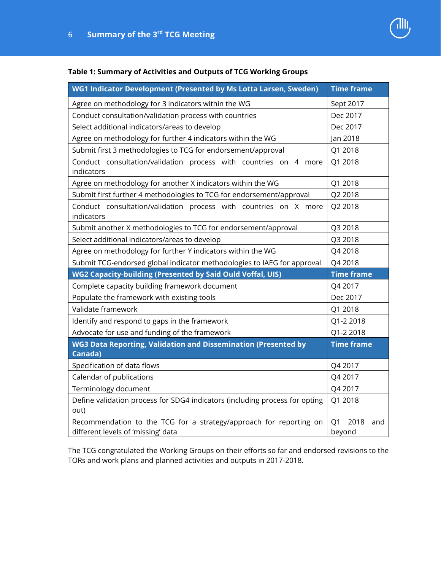| 心 |
|---|
|   |
|   |

#### **Table 1: Summary of Activities and Outputs of TCG Working Groups**

| WG1 Indicator Development (Presented by Ms Lotta Larsen, Sweden)                                         | <b>Time frame</b>                       |
|----------------------------------------------------------------------------------------------------------|-----------------------------------------|
| Agree on methodology for 3 indicators within the WG                                                      | Sept 2017                               |
| Conduct consultation/validation process with countries                                                   | Dec 2017                                |
| Select additional indicators/areas to develop                                                            | Dec 2017                                |
| Agree on methodology for further 4 indicators within the WG                                              | Jan 2018                                |
| Submit first 3 methodologies to TCG for endorsement/approval                                             | Q1 2018                                 |
| Conduct consultation/validation process with countries on 4 more<br>indicators                           | Q1 2018                                 |
| Agree on methodology for another X indicators within the WG                                              | Q1 2018                                 |
| Submit first further 4 methodologies to TCG for endorsement/approval                                     | Q2 2018                                 |
| Conduct consultation/validation process with countries on X more<br>indicators                           | Q2 2018                                 |
| Submit another X methodologies to TCG for endorsement/approval                                           | Q3 2018                                 |
| Select additional indicators/areas to develop                                                            | Q3 2018                                 |
| Agree on methodology for further Y indicators within the WG                                              | Q4 2018                                 |
| Submit TCG-endorsed global indicator methodologies to IAEG for approval                                  | Q4 2018                                 |
| <b>WG2 Capacity-building (Presented by Said Ould Voffal, UIS)</b>                                        | <b>Time frame</b>                       |
| Complete capacity building framework document                                                            | Q4 2017                                 |
| Populate the framework with existing tools                                                               | Dec 2017                                |
| Validate framework                                                                                       | Q1 2018                                 |
| Identify and respond to gaps in the framework                                                            | Q1-2 2018                               |
| Advocate for use and funding of the framework                                                            | Q1-2 2018                               |
| <b>WG3 Data Reporting, Validation and Dissemination (Presented by</b><br>Canada)                         | <b>Time frame</b>                       |
| Specification of data flows                                                                              | Q4 2017                                 |
| Calendar of publications                                                                                 | Q4 2017                                 |
| Terminology document                                                                                     | Q4 2017                                 |
| Define validation process for SDG4 indicators (including process for opting<br>out)                      | Q1 2018                                 |
| Recommendation to the TCG for a strategy/approach for reporting on<br>different levels of 'missing' data | 2018<br>Q <sub>1</sub><br>and<br>beyond |

The TCG congratulated the Working Groups on their efforts so far and endorsed revisions to the TORs and work plans and planned activities and outputs in 2017-2018.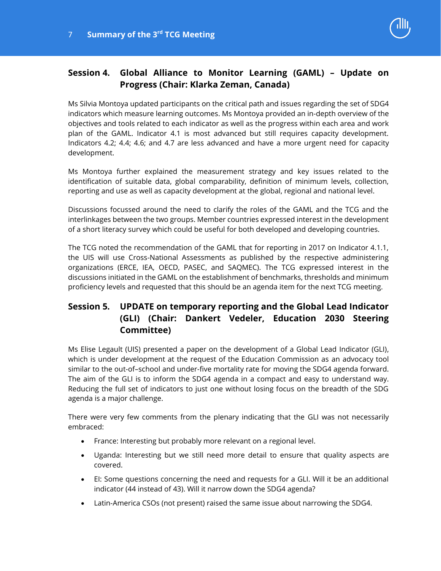

# **Session 4. Global Alliance to Monitor Learning (GAML) – Update on Progress (Chair: Klarka Zeman, Canada)**

Ms Silvia Montoya updated participants on the critical path and issues regarding the set of SDG4 indicators which measure learning outcomes. Ms Montoya provided an in-depth overview of the objectives and tools related to each indicator as well as the progress within each area and work plan of the GAML. Indicator 4.1 is most advanced but still requires capacity development. Indicators 4.2; 4.4; 4.6; and 4.7 are less advanced and have a more urgent need for capacity development.

Ms Montoya further explained the measurement strategy and key issues related to the identification of suitable data, global comparability, definition of minimum levels, collection, reporting and use as well as capacity development at the global, regional and national level.

Discussions focussed around the need to clarify the roles of the GAML and the TCG and the interlinkages between the two groups. Member countries expressed interest in the development of a short literacy survey which could be useful for both developed and developing countries.

The TCG noted the recommendation of the GAML that for reporting in 2017 on Indicator 4.1.1, the UIS will use Cross-National Assessments as published by the respective administering organizations (ERCE, IEA, OECD, PASEC, and SAQMEC). The TCG expressed interest in the discussions initiated in the GAML on the establishment of benchmarks, thresholds and minimum proficiency levels and requested that this should be an agenda item for the next TCG meeting.

# **Session 5. UPDATE on temporary reporting and the Global Lead Indicator (GLI) (Chair: Dankert Vedeler, Education 2030 Steering Committee)**

Ms Elise Legault (UIS) presented a paper on the development of a Global Lead Indicator (GLI), which is under development at the request of the Education Commission as an advocacy tool similar to the out-of–school and under-five mortality rate for moving the SDG4 agenda forward. The aim of the GLI is to inform the SDG4 agenda in a compact and easy to understand way. Reducing the full set of indicators to just one without losing focus on the breadth of the SDG agenda is a major challenge.

There were very few comments from the plenary indicating that the GLI was not necessarily embraced:

- France: Interesting but probably more relevant on a regional level.
- Uganda: Interesting but we still need more detail to ensure that quality aspects are covered.
- EI: Some questions concerning the need and requests for a GLI. Will it be an additional indicator (44 instead of 43). Will it narrow down the SDG4 agenda?
- Latin-America CSOs (not present) raised the same issue about narrowing the SDG4.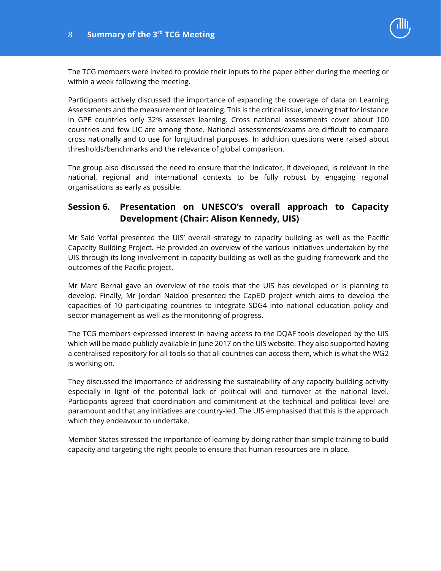

The TCG members were invited to provide their inputs to the paper either during the meeting or within a week following the meeting.

Participants actively discussed the importance of expanding the coverage of data on Learning Assessments and the measurement of learning. This is the critical issue, knowing that for instance in GPE countries only 32% assesses learning. Cross national assessments cover about 100 countries and few LIC are among those. National assessments/exams are difficult to compare cross nationally and to use for longitudinal purposes. In addition questions were raised about thresholds/benchmarks and the relevance of global comparison.

The group also discussed the need to ensure that the indicator, if developed, is relevant in the national, regional and international contexts to be fully robust by engaging regional organisations as early as possible.

## **Session 6. Presentation on UNESCO's overall approach to Capacity Development (Chair: Alison Kennedy, UIS)**

Mr Said Voffal presented the UIS' overall strategy to capacity building as well as the Pacific Capacity Building Project. He provided an overview of the various initiatives undertaken by the UIS through its long involvement in capacity building as well as the guiding framework and the outcomes of the Pacific project.

Mr Marc Bernal gave an overview of the tools that the UIS has developed or is planning to develop. Finally, Mr Jordan Naidoo presented the CapED project which aims to develop the capacities of 10 participating countries to integrate SDG4 into national education policy and sector management as well as the monitoring of progress.

The TCG members expressed interest in having access to the DQAF tools developed by the UIS which will be made publicly available in June 2017 on the UIS website. They also supported having a centralised repository for all tools so that all countries can access them, which is what the WG2 is working on.

They discussed the importance of addressing the sustainability of any capacity building activity especially in light of the potential lack of political will and turnover at the national level. Participants agreed that coordination and commitment at the technical and political level are paramount and that any initiatives are country-led. The UIS emphasised that this is the approach which they endeavour to undertake.

Member States stressed the importance of learning by doing rather than simple training to build capacity and targeting the right people to ensure that human resources are in place.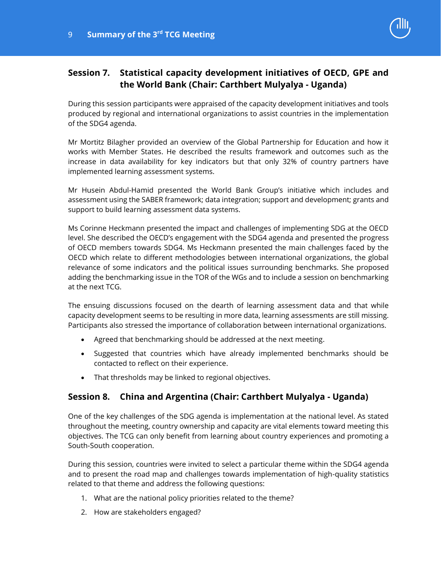

# **Session 7. Statistical capacity development initiatives of OECD, GPE and the World Bank (Chair: Carthbert Mulyalya - Uganda)**

During this session participants were appraised of the capacity development initiatives and tools produced by regional and international organizations to assist countries in the implementation of the SDG4 agenda.

Mr Mortitz Bilagher provided an overview of the Global Partnership for Education and how it works with Member States. He described the results framework and outcomes such as the increase in data availability for key indicators but that only 32% of country partners have implemented learning assessment systems.

Mr Husein Abdul-Hamid presented the World Bank Group's initiative which includes and assessment using the SABER framework; data integration; support and development; grants and support to build learning assessment data systems.

Ms Corinne Heckmann presented the impact and challenges of implementing SDG at the OECD level. She described the OECD's engagement with the SDG4 agenda and presented the progress of OECD members towards SDG4. Ms Heckmann presented the main challenges faced by the OECD which relate to different methodologies between international organizations, the global relevance of some indicators and the political issues surrounding benchmarks. She proposed adding the benchmarking issue in the TOR of the WGs and to include a session on benchmarking at the next TCG.

The ensuing discussions focused on the dearth of learning assessment data and that while capacity development seems to be resulting in more data, learning assessments are still missing. Participants also stressed the importance of collaboration between international organizations.

- Agreed that benchmarking should be addressed at the next meeting.
- Suggested that countries which have already implemented benchmarks should be contacted to reflect on their experience.
- That thresholds may be linked to regional objectives.

### **Session 8. China and Argentina (Chair: Carthbert Mulyalya - Uganda)**

One of the key challenges of the SDG agenda is implementation at the national level. As stated throughout the meeting, country ownership and capacity are vital elements toward meeting this objectives. The TCG can only benefit from learning about country experiences and promoting a South-South cooperation.

During this session, countries were invited to select a particular theme within the SDG4 agenda and to present the road map and challenges towards implementation of high-quality statistics related to that theme and address the following questions:

- 1. What are the national policy priorities related to the theme?
- 2. How are stakeholders engaged?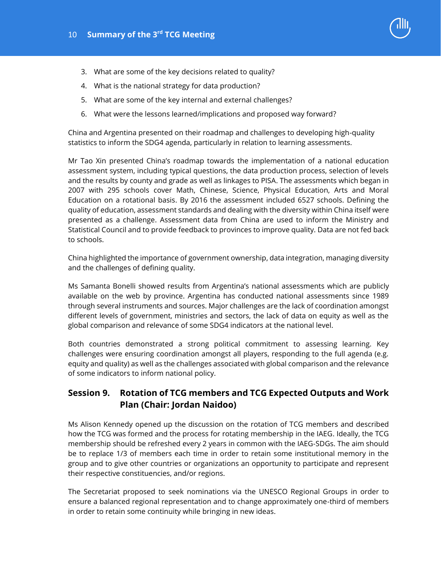

- 3. What are some of the key decisions related to quality?
- 4. What is the national strategy for data production?
- 5. What are some of the key internal and external challenges?
- 6. What were the lessons learned/implications and proposed way forward?

China and Argentina presented on their roadmap and challenges to developing high-quality statistics to inform the SDG4 agenda, particularly in relation to learning assessments.

Mr Tao Xin presented China's roadmap towards the implementation of a national education assessment system, including typical questions, the data production process, selection of levels and the results by county and grade as well as linkages to PISA. The assessments which began in 2007 with 295 schools cover Math, Chinese, Science, Physical Education, Arts and Moral Education on a rotational basis. By 2016 the assessment included 6527 schools. Defining the quality of education, assessment standards and dealing with the diversity within China itself were presented as a challenge. Assessment data from China are used to inform the Ministry and Statistical Council and to provide feedback to provinces to improve quality. Data are not fed back to schools.

China highlighted the importance of government ownership, data integration, managing diversity and the challenges of defining quality.

Ms Samanta Bonelli showed results from Argentina's national assessments which are publicly available on the web by province. Argentina has conducted national assessments since 1989 through several instruments and sources. Major challenges are the lack of coordination amongst different levels of government, ministries and sectors, the lack of data on equity as well as the global comparison and relevance of some SDG4 indicators at the national level.

Both countries demonstrated a strong political commitment to assessing learning. Key challenges were ensuring coordination amongst all players, responding to the full agenda (e.g. equity and quality) as well as the challenges associated with global comparison and the relevance of some indicators to inform national policy.

### **Session 9. Rotation of TCG members and TCG Expected Outputs and Work Plan (Chair: Jordan Naidoo)**

Ms Alison Kennedy opened up the discussion on the rotation of TCG members and described how the TCG was formed and the process for rotating membership in the IAEG. Ideally, the TCG membership should be refreshed every 2 years in common with the IAEG-SDGs. The aim should be to replace 1/3 of members each time in order to retain some institutional memory in the group and to give other countries or organizations an opportunity to participate and represent their respective constituencies, and/or regions.

The Secretariat proposed to seek nominations via the UNESCO Regional Groups in order to ensure a balanced regional representation and to change approximately one-third of members in order to retain some continuity while bringing in new ideas.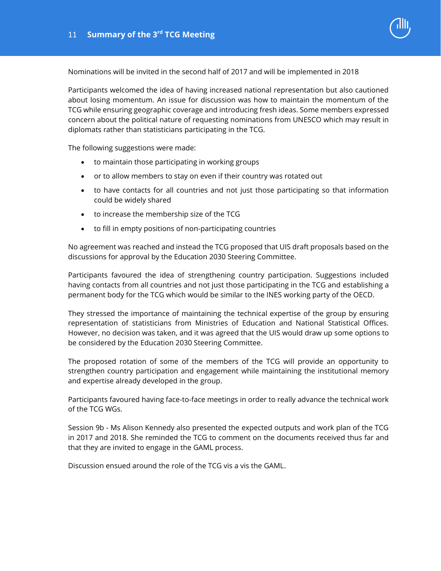

Nominations will be invited in the second half of 2017 and will be implemented in 2018

Participants welcomed the idea of having increased national representation but also cautioned about losing momentum. An issue for discussion was how to maintain the momentum of the TCG while ensuring geographic coverage and introducing fresh ideas. Some members expressed concern about the political nature of requesting nominations from UNESCO which may result in diplomats rather than statisticians participating in the TCG.

The following suggestions were made:

- to maintain those participating in working groups
- or to allow members to stay on even if their country was rotated out
- to have contacts for all countries and not just those participating so that information could be widely shared
- to increase the membership size of the TCG
- to fill in empty positions of non-participating countries

No agreement was reached and instead the TCG proposed that UIS draft proposals based on the discussions for approval by the Education 2030 Steering Committee.

Participants favoured the idea of strengthening country participation. Suggestions included having contacts from all countries and not just those participating in the TCG and establishing a permanent body for the TCG which would be similar to the INES working party of the OECD.

They stressed the importance of maintaining the technical expertise of the group by ensuring representation of statisticians from Ministries of Education and National Statistical Offices. However, no decision was taken, and it was agreed that the UIS would draw up some options to be considered by the Education 2030 Steering Committee.

The proposed rotation of some of the members of the TCG will provide an opportunity to strengthen country participation and engagement while maintaining the institutional memory and expertise already developed in the group.

Participants favoured having face-to-face meetings in order to really advance the technical work of the TCG WGs.

Session 9b - Ms Alison Kennedy also presented the expected outputs and work plan of the TCG in 2017 and 2018. She reminded the TCG to comment on the documents received thus far and that they are invited to engage in the GAML process.

Discussion ensued around the role of the TCG vis a vis the GAML.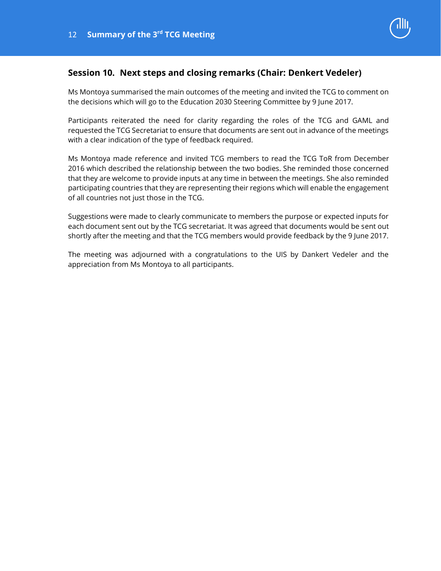

### **Session 10. Next steps and closing remarks (Chair: Denkert Vedeler)**

Ms Montoya summarised the main outcomes of the meeting and invited the TCG to comment on the decisions which will go to the Education 2030 Steering Committee by 9 June 2017.

Participants reiterated the need for clarity regarding the roles of the TCG and GAML and requested the TCG Secretariat to ensure that documents are sent out in advance of the meetings with a clear indication of the type of feedback required.

Ms Montoya made reference and invited TCG members to read the TCG ToR from December 2016 which described the relationship between the two bodies. She reminded those concerned that they are welcome to provide inputs at any time in between the meetings. She also reminded participating countries that they are representing their regions which will enable the engagement of all countries not just those in the TCG.

Suggestions were made to clearly communicate to members the purpose or expected inputs for each document sent out by the TCG secretariat. It was agreed that documents would be sent out shortly after the meeting and that the TCG members would provide feedback by the 9 June 2017.

The meeting was adjourned with a congratulations to the UIS by Dankert Vedeler and the appreciation from Ms Montoya to all participants.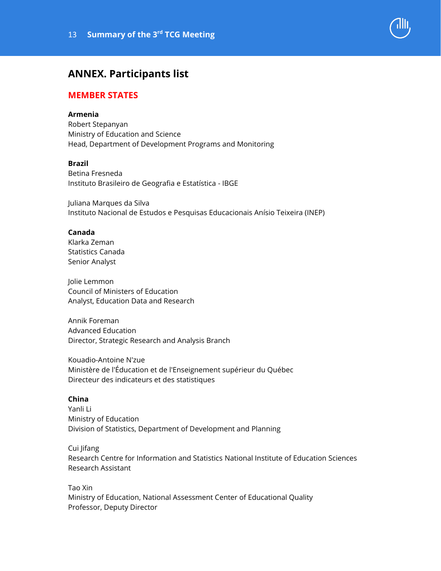# **ANNEX. Participants list**

### **MEMBER STATES**

#### **Armenia**

Robert Stepanyan Ministry of Education and Science Head, Department of Development Programs and Monitoring

#### **Brazil**

Betina Fresneda Instituto Brasileiro de Geografia e Estatística - IBGE

Juliana Marques da Silva Instituto Nacional de Estudos e Pesquisas Educacionais Anísio Teixeira (INEP)

#### **Canada**

Klarka Zeman Statistics Canada Senior Analyst

Jolie Lemmon Council of Ministers of Education Analyst, Education Data and Research

Annik Foreman Advanced Education Director, Strategic Research and Analysis Branch

Kouadio-Antoine N'zue Ministère de l'Éducation et de l'Enseignement supérieur du Québec Directeur des indicateurs et des statistiques

#### **China**

Yanli Li Ministry of Education Division of Statistics, Department of Development and Planning

#### Cui Jifang

Research Centre for Information and Statistics National Institute of Education Sciences Research Assistant

Tao Xin Ministry of Education, National Assessment Center of Educational Quality Professor, Deputy Director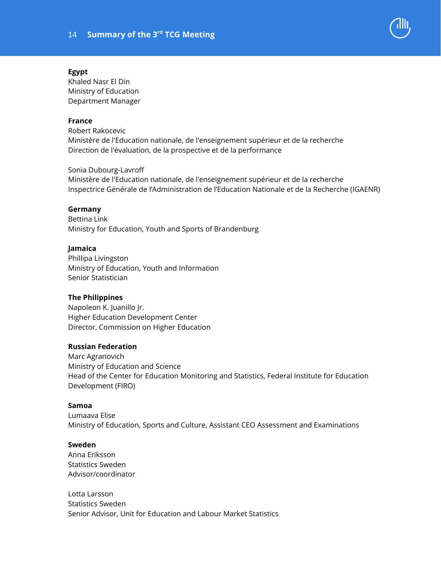

#### **Egypt**

Khaled Nasr El Din Ministry of Education Department Manager

#### **France**

Robert Rakocevic Ministère de l'Education nationale, de l'enseignement supérieur et de la recherche Direction de l'évaluation, de la prospective et de la performance

Sonia Dubourg-Lavroff Ministère de l'Education nationale, de l'enseignement supérieur et de la recherche Inspectrice Générale de l'Administration de l'Education Nationale et de la Recherche (IGAENR)

#### **Germany**

Bettina Link Ministry for Education, Youth and Sports of Brandenburg

#### **Jamaica**

Phillipa Livingston Ministry of Education, Youth and Information Senior Statistician

#### **The Philippines**

Napoleon K. Juanillo Jr. Higher Education Development Center Director, Commission on Higher Education

#### **Russian Federation**

Marc Agranovich Ministry of Education and Science Head of the Center for Education Monitoring and Statistics, Federal Institute for Education Development (FIRO)

#### **Samoa**

Lumaava Elise Ministry of Education, Sports and Culture, Assistant CEO Assessment and Examinations

#### **Sweden**

Anna Eriksson Statistics Sweden Advisor/coordinator

Lotta Larsson Statistics Sweden Senior Advisor, Unit for Education and Labour Market Statistics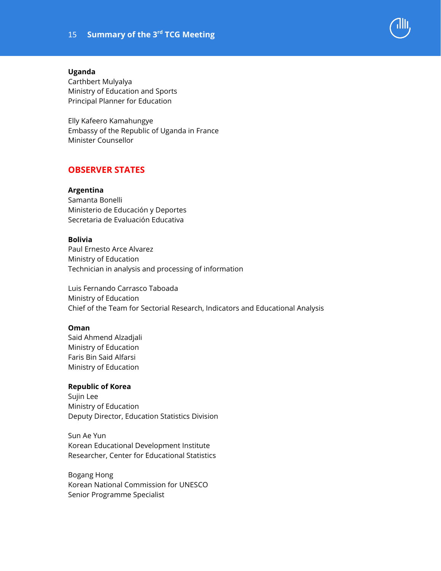

#### **Uganda**

Carthbert Mulyalya Ministry of Education and Sports Principal Planner for Education

Elly Kafeero Kamahungye Embassy of the Republic of Uganda in France Minister Counsellor

### **OBSERVER STATES**

#### **Argentina**

Samanta Bonelli Ministerio de Educación y Deportes Secretaria de Evaluación Educativa

#### **Bolivia**

Paul Ernesto Arce Alvarez Ministry of Education Technician in analysis and processing of information

Luis Fernando Carrasco Taboada Ministry of Education Chief of the Team for Sectorial Research, Indicators and Educational Analysis

#### **Oman**

Said Ahmend Alzadjali Ministry of Education Faris Bin Said Alfarsi Ministry of Education

#### **Republic of Korea**

Sujin Lee Ministry of Education Deputy Director, Education Statistics Division

Sun Ae Yun Korean Educational Development Institute Researcher, Center for Educational Statistics

Bogang Hong Korean National Commission for UNESCO Senior Programme Specialist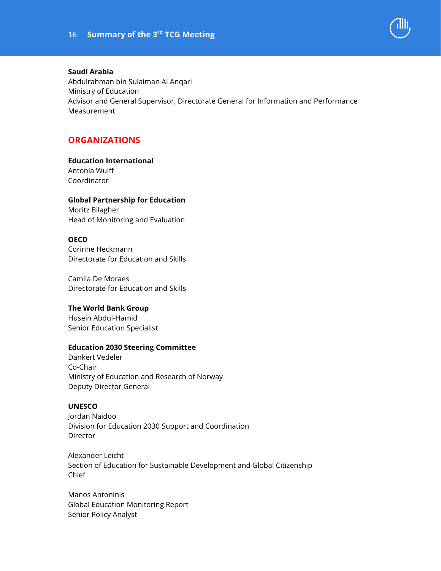

#### **Saudi Arabia**

Abdulrahman bin Sulaiman Al Anqari Ministry of Education Advisor and General Supervisor, Directorate General for Information and Performance Measurement

### **ORGANIZATIONS**

#### **Education International**

Antonia Wulff Coordinator

#### **Global Partnership for Education**

Moritz Bilagher Head of Monitoring and Evaluation

#### **OECD**

Corinne Heckmann Directorate for Education and Skills

Camila De Moraes Directorate for Education and Skills

#### **The World Bank Group**

Husein Abdul-Hamid Senior Education Specialist

#### **Education 2030 Steering Committee**

Dankert Vedeler Co-Chair Ministry of Education and Research of Norway Deputy Director General

#### **UNESCO**

Jordan Naidoo Division for Education 2030 Support and Coordination **Director** 

Alexander Leicht Section of Education for Sustainable Development and Global Citizenship Chief

Manos Antoninis Global Education Monitoring Report Senior Policy Analyst